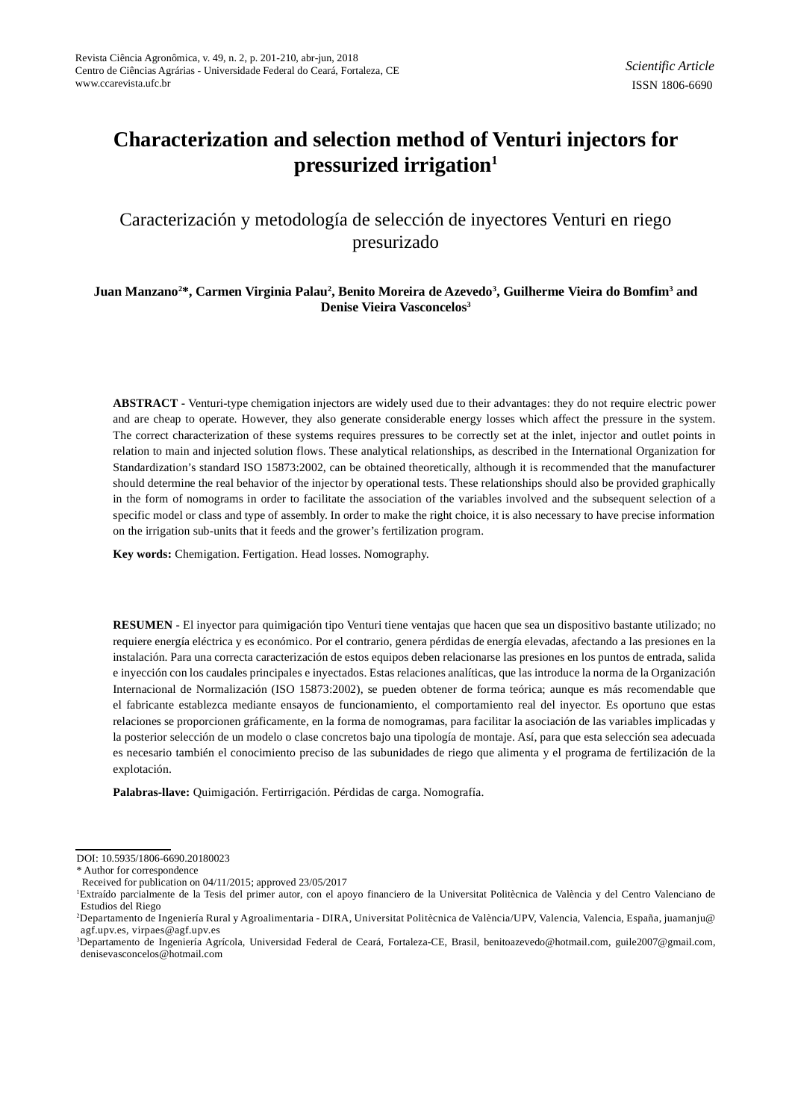# **Characterization and selection method of Venturi injectors for pressurized irrigation<sup>1</sup>**

## Caracterización y metodología de selección de inyectores Venturi en riego presurizado

## $\bf{J}$ uan Manzano<sup>2</sup>\*, Carmen Virginia Palau<sup>2</sup>, Benito Moreira de Azevedo<sup>3</sup>, Guilherme Vieira do Bomfim<sup>3</sup> and **Denise Vieira Vasconcelos<sup>3</sup>**

**ABSTRACT -** Venturi-type chemigation injectors are widely used due to their advantages: they do not require electric power and are cheap to operate. However, they also generate considerable energy losses which affect the pressure in the system. The correct characterization of these systems requires pressures to be correctly set at the inlet, injector and outlet points in relation to main and injected solution flows. These analytical relationships, as described in the International Organization for Standardization's standard ISO 15873:2002, can be obtained theoretically, although it is recommended that the manufacturer should determine the real behavior of the injector by operational tests. These relationships should also be provided graphically in the form of nomograms in order to facilitate the association of the variables involved and the subsequent selection of a specific model or class and type of assembly. In order to make the right choice, it is also necessary to have precise information on the irrigation sub-units that it feeds and the grower's fertilization program.

**Key words:** Chemigation. Fertigation. Head losses. Nomography.

**RESUMEN -** El inyector para quimigación tipo Venturi tiene ventajas que hacen que sea un dispositivo bastante utilizado; no requiere energía eléctrica y es económico. Por el contrario, genera pérdidas de energía elevadas, afectando a las presiones en la instalación. Para una correcta caracterización de estos equipos deben relacionarse las presiones en los puntos de entrada, salida e inyección con los caudales principales e inyectados. Estas relaciones analíticas, que las introduce la norma de la Organización Internacional de Normalización (ISO 15873:2002), se pueden obtener de forma teórica; aunque es más recomendable que el fabricante establezca mediante ensayos de funcionamiento, el comportamiento real del inyector. Es oportuno que estas relaciones se proporcionen gráficamente, en la forma de nomogramas, para facilitar la asociación de las variables implicadas y la posterior selección de un modelo o clase concretos bajo una tipología de montaje. Así, para que esta selección sea adecuada es necesario también el conocimiento preciso de las subunidades de riego que alimenta y el programa de fertilización de la explotación.

**Palabras-llave:** Quimigación. Fertirrigación. Pérdidas de carga. Nomografía.

DOI: 10.5935/1806-6690.20180023

<sup>\*</sup> Author for correspondence

Received for publication on 04/11/2015; approved 23/05/2017

<sup>1</sup>Extraído parcialmente de la Tesis del primer autor, con el apoyo financiero de la Universitat Politècnica de València y del Centro Valenciano de Estudios del Riego

<sup>2</sup>Departamento de Ingeniería Rural y Agroalimentaria - DIRA, Universitat Politècnica de València/UPV, Valencia, Valencia, España, juamanju@ agf.upv.es, virpaes@agf.upv.es

<sup>3</sup>Departamento de Ingeniería Agrícola, Universidad Federal de Ceará, Fortaleza-CE, Brasil, benitoazevedo@hotmail.com, guile2007@gmail.com, denisevasconcelos@hotmail.com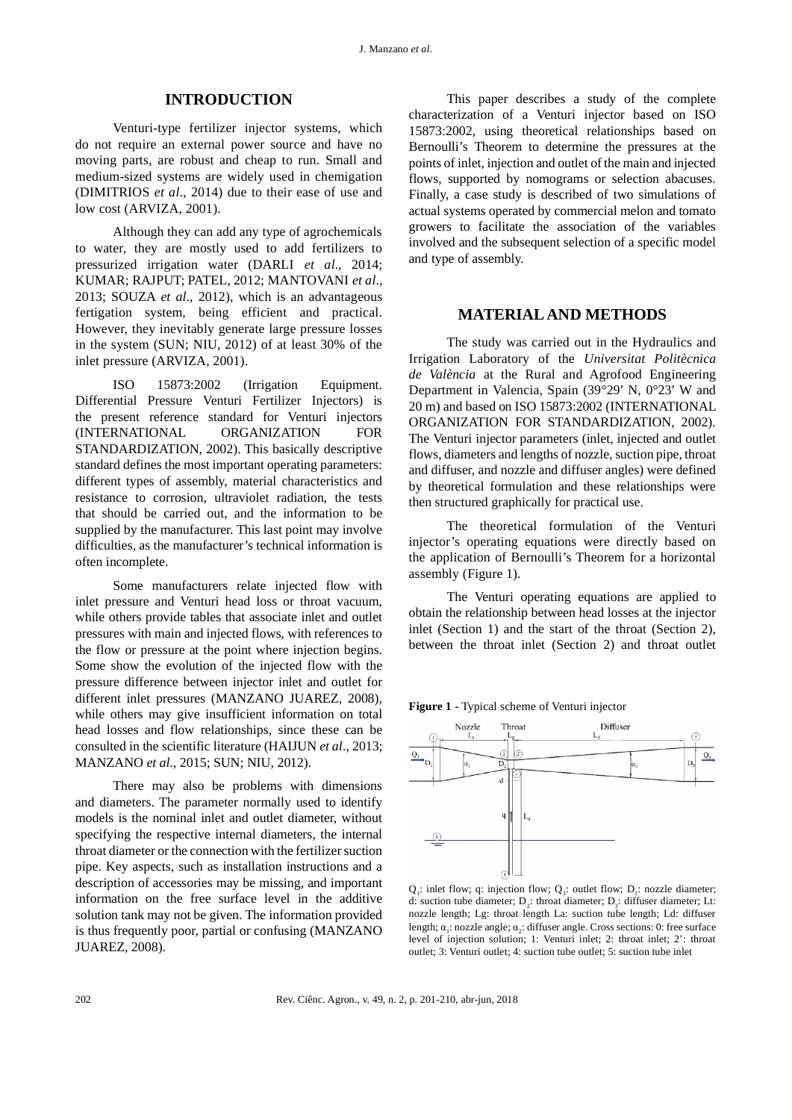## **INTRODUCTION**

Venturi-type fertilizer injector systems, which do not require an external power source and have no moving parts, are robust and cheap to run. Small and medium-sized systems are widely used in chemigation (DIMITRIOS *et al*., 2014) due to their ease of use and low cost (ARVIZA, 2001).

Although they can add any type of agrochemicals to water, they are mostly used to add fertilizers to pressurized irrigation water (DARLI *et al*., 2014; KUMAR; RAJPUT; PATEL, 2012; MANTOVANI *et al*., 2013; SOUZA *et al*., 2012), which is an advantageous fertigation system, being efficient and practical. However, they inevitably generate large pressure losses in the system (SUN; NIU, 2012) of at least 30% of the inlet pressure (ARVIZA, 2001).

ISO 15873:2002 (Irrigation Equipment. Differential Pressure Venturi Fertilizer Injectors) is the present reference standard for Venturi injectors (INTERNATIONAL ORGANIZATION FOR STANDARDIZATION, 2002). This basically descriptive standard defines the most important operating parameters: different types of assembly, material characteristics and resistance to corrosion, ultraviolet radiation, the tests that should be carried out, and the information to be supplied by the manufacturer. This last point may involve difficulties, as the manufacturer's technical information is often incomplete.

Some manufacturers relate injected flow with inlet pressure and Venturi head loss or throat vacuum, while others provide tables that associate inlet and outlet pressures with main and injected flows, with references to the flow or pressure at the point where injection begins. Some show the evolution of the injected flow with the pressure difference between injector inlet and outlet for different inlet pressures (MANZANO JUAREZ, 2008), while others may give insufficient information on total head losses and flow relationships, since these can be consulted in the scientific literature (HAIJUN *et al*., 2013; MANZANO *et al*., 2015; SUN; NIU, 2012).

There may also be problems with dimensions and diameters. The parameter normally used to identify models is the nominal inlet and outlet diameter, without specifying the respective internal diameters, the internal throat diameter or the connection with the fertilizer suction pipe. Key aspects, such as installation instructions and a description of accessories may be missing, and important information on the free surface level in the additive solution tank may not be given. The information provided is thus frequently poor, partial or confusing (MANZANO JUAREZ, 2008).

This paper describes a study of the complete characterization of a Venturi injector based on ISO 15873:2002, using theoretical relationships based on Bernoulli's Theorem to determine the pressures at the points of inlet, injection and outlet of the main and injected flows, supported by nomograms or selection abacuses. Finally, a case study is described of two simulations of actual systems operated by commercial melon and tomato growers to facilitate the association of the variables involved and the subsequent selection of a specific model and type of assembly.

## **MATERIAL AND METHODS**

The study was carried out in the Hydraulics and Irrigation Laboratory of the *Universitat Politècnica de València* at the Rural and Agrofood Engineering Department in Valencia, Spain (39°29′ N, 0°23′ W and 20 m) and based on ISO 15873:2002 (INTERNATIONAL ORGANIZATION FOR STANDARDIZATION, 2002). The Venturi injector parameters (inlet, injected and outlet flows, diameters and lengths of nozzle, suction pipe, throat and diffuser, and nozzle and diffuser angles) were defined by theoretical formulation and these relationships were then structured graphically for practical use.

The theoretical formulation of the Venturi injector's operating equations were directly based on the application of Bernoulli's Theorem for a horizontal assembly (Figure 1).

The Venturi operating equations are applied to obtain the relationship between head losses at the injector inlet (Section 1) and the start of the throat (Section 2), between the throat inlet (Section 2) and throat outlet



**Figure 1 -** Typical scheme of Venturi injector

 $Q_1$ : inlet flow; q: injection flow;  $Q_3$ : outlet flow;  $D_1$ : nozzle diameter; d: suction tube diameter;  $D_2$ : throat diameter;  $D_3$ : diffuser diameter; Lt: nozzle length; Lg: throat length La: suction tube length; Ld: diffuser length;  $\alpha_1$ : nozzle angle;  $\alpha_2$ : diffuser angle. Cross sections: 0: free surface level of injection solution; 1: Venturi inlet; 2: throat inlet; 2': throat outlet; 3: Venturi outlet; 4: suction tube outlet; 5: suction tube inlet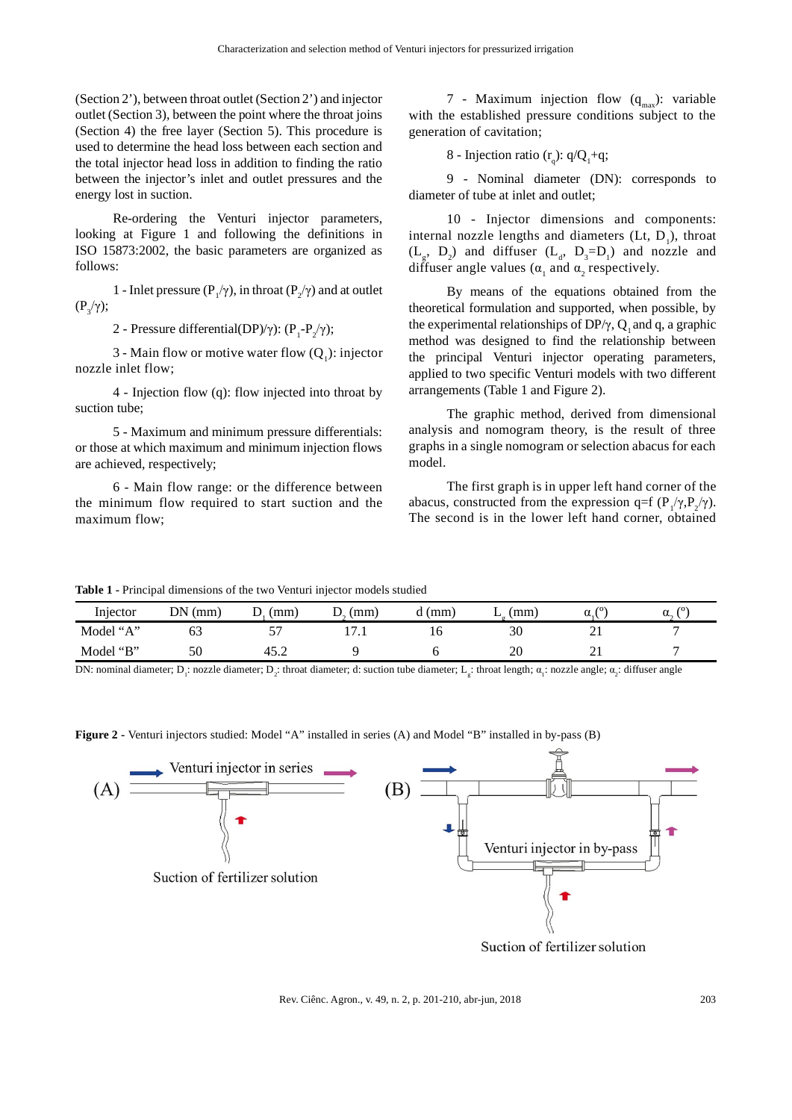(Section 2'), between throat outlet (Section 2') and injector outlet (Section 3), between the point where the throat joins (Section 4) the free layer (Section 5). This procedure is used to determine the head loss between each section and the total injector head loss in addition to finding the ratio between the injector's inlet and outlet pressures and the energy lost in suction.

Re-ordering the Venturi injector parameters, looking at Figure 1 and following the definitions in ISO 15873:2002, the basic parameters are organized as follows:

1 - Inlet pressure ( $P_1/\gamma$ ), in throat ( $P_2/\gamma$ ) and at outlet  $(P_3/\gamma);$ 

2 - Pressure differential(DP)/γ):  $(P_1-P_2/\gamma)$ ;

3 - Main flow or motive water flow  $(Q_1)$ : injector nozzle inlet flow;

4 - Injection flow (q): flow injected into throat by suction tube;

5 - Maximum and minimum pressure differentials: or those at which maximum and minimum injection flows are achieved, respectively;

6 - Main flow range: or the difference between the minimum flow required to start suction and the maximum flow;

7 - Maximum injection flow  $(q_{max})$ : variable with the established pressure conditions subject to the generation of cavitation;

8 - Injection ratio  $(r_q)$ :  $q/Q_1 + q$ ;

9 - Nominal diameter (DN): corresponds to diameter of tube at inlet and outlet;

10 - Injector dimensions and components: internal nozzle lengths and diameters  $(Lt, D<sub>1</sub>)$ , throat  $(L_g, D_2)$  and diffuser  $(L_d, D_3=D_1)$  and nozzle and diffuser angle values ( $\alpha_1$  and  $\alpha_2$  respectively.

By means of the equations obtained from the theoretical formulation and supported, when possible, by the experimental relationships of DP/ $\gamma$ , Q<sub>1</sub> and q, a graphic method was designed to find the relationship between the principal Venturi injector operating parameters, applied to two specific Venturi models with two different arrangements (Table 1 and Figure 2).

The graphic method, derived from dimensional analysis and nomogram theory, is the result of three graphs in a single nomogram or selection abacus for each model.

The first graph is in upper left hand corner of the abacus, constructed from the expression q=f  $(P_1/\gamma, P_2/\gamma)$ . The second is in the lower left hand corner, obtained

**Table 1 -** Principal dimensions of the two Venturi injector models studied

| Injector  | DN(<br>(mm) | (mm)<br>ν    | mm<br>◡               | (mm) | (mm)<br>∸ | 70<br>α | 70<br>u. |
|-----------|-------------|--------------|-----------------------|------|-----------|---------|----------|
| Model "A" | ΟĴ          | --           | $\overline{ }$<br>. . | 10   | 30        | ⌒       | -        |
| Model "B" | 50          | 45. $\angle$ |                       |      | 20        | ∸       | -        |

DN: nominal diameter; D<sub>1</sub>: nozzle diameter; D<sub>2</sub>: throat diameter; d: suction tube diameter; L<sub>g</sub>: throat length;  $\alpha_1$ : nozzle angle;  $\alpha_2$ : diffuser angle



**Figure 2 -** Venturi injectors studied: Model "A" installed in series (A) and Model "B" installed in by-pass (B)

Rev. Ciênc. Agron., v. 49, n. 2, p. 201-210, abr-jun, 2018 203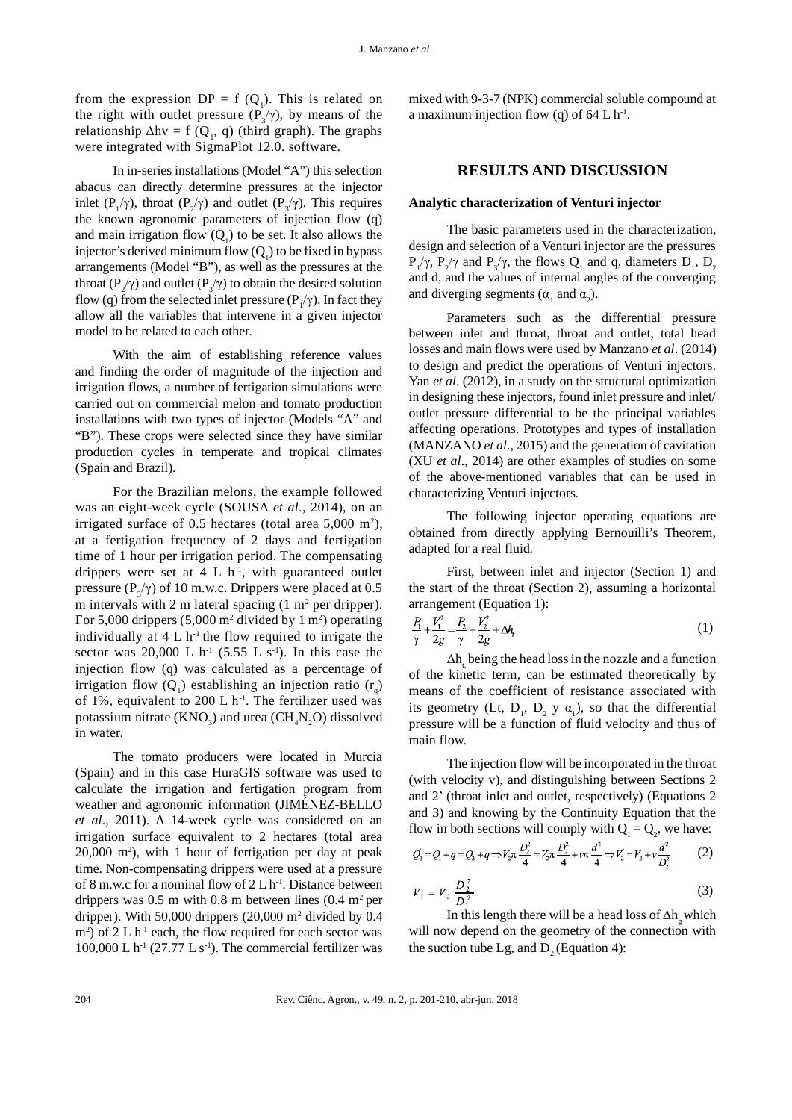from the expression  $DP = f(Q_1)$ . This is related on the right with outlet pressure  $(P_3/\gamma)$ , by means of the relationship  $\Delta h v = f(Q_1, q)$  (third graph). The graphs were integrated with SigmaPlot 12.0. software.

In in-series installations (Model "A") this selection abacus can directly determine pressures at the injector inlet  $(P_1/\gamma)$ , throat  $(P_2/\gamma)$  and outlet  $(P_3/\gamma)$ . This requires the known agronomic parameters of injection flow (q) and main irrigation flow  $(Q_1)$  to be set. It also allows the injector's derived minimum flow  $(Q_1)$  to be fixed in bypass arrangements (Model "B"), as well as the pressures at the throat ( $P_2/\gamma$ ) and outlet ( $P_3/\gamma$ ) to obtain the desired solution flow (q) from the selected inlet pressure ( $P_1/\gamma$ ). In fact they allow all the variables that intervene in a given injector model to be related to each other.

With the aim of establishing reference values and finding the order of magnitude of the injection and irrigation flows, a number of fertigation simulations were carried out on commercial melon and tomato production installations with two types of injector (Models "A" and "B"). These crops were selected since they have similar production cycles in temperate and tropical climates (Spain and Brazil).

For the Brazilian melons, the example followed was an eight-week cycle (SOUSA *et al*., 2014), on an irrigated surface of 0.5 hectares (total area  $5,000 \text{ m}^2$ ), at a fertigation frequency of 2 days and fertigation time of 1 hour per irrigation period. The compensating drippers were set at  $4 L h^{-1}$ , with guaranteed outlet pressure ( $P_3/\gamma$ ) of 10 m.w.c. Drippers were placed at 0.5 m intervals with 2 m lateral spacing  $(1 \text{ m}^2 \text{ per dripper}).$ For 5,000 drippers  $(5,000 \text{ m}^2 \text{ divided by } 1 \text{ m}^2)$  operating individually at  $4 L h^{-1}$  the flow required to irrigate the sector was 20,000 L h<sup>-1</sup> (5.55 L s<sup>-1</sup>). In this case the injection flow (q) was calculated as a percentage of irrigation flow  $(Q_1)$  establishing an injection ratio  $(r_q)$ of 1%, equivalent to 200 L  $h<sup>1</sup>$ . The fertilizer used was potassium nitrate  $(KNO_3)$  and urea  $(CH_4N_2O)$  dissolved in water.

The tomato producers were located in Murcia (Spain) and in this case HuraGIS software was used to calculate the irrigation and fertigation program from weather and agronomic information (JIMÉNEZ-BELLO *et al*., 2011). A 14-week cycle was considered on an irrigation surface equivalent to 2 hectares (total area 20,000 m<sup>2</sup> ), with 1 hour of fertigation per day at peak time. Non-compensating drippers were used at a pressure of 8 m.w.c for a nominal flow of  $2 L h^{-1}$ . Distance between drippers was  $0.5$  m with  $0.8$  m between lines  $(0.4 \text{ m}^2 \text{ per}$ dripper). With 50,000 drippers (20,000 m<sup>2</sup> divided by 0.4  $\text{m}^2$ ) of 2 L h<sup>-1</sup> each, the flow required for each sector was 100,000 L  $h^{-1}$  (27.77 L s<sup>-1</sup>). The commercial fertilizer was

mixed with 9-3-7 (NPK) commercial soluble compound at a maximum injection flow (q) of  $64$  L h<sup>-1</sup>.

## **RESULTS AND DISCUSSION**

#### **Analytic characterization of Venturi injector**

The basic parameters used in the characterization, design and selection of a Venturi injector are the pressures  $P_1/\gamma$ ,  $P_2/\gamma$  and  $P_3/\gamma$ , the flows Q<sub>1</sub> and q, diameters D<sub>1</sub>, D<sub>2</sub> and d, and the values of internal angles of the converging and diverging segments ( $\alpha_1$  and  $\alpha_2$ ).

Parameters such as the differential pressure between inlet and throat, throat and outlet, total head losses and main flows were used by Manzano *et al*. (2014) to design and predict the operations of Venturi injectors. Yan *et al*. (2012), in a study on the structural optimization in designing these injectors, found inlet pressure and inlet/ outlet pressure differential to be the principal variables affecting operations. Prototypes and types of installation (MANZANO *et al*., 2015) and the generation of cavitation (XU *et al*., 2014) are other examples of studies on some of the above-mentioned variables that can be used in characterizing Venturi injectors.

The following injector operating equations are obtained from directly applying Bernouilli's Theorem, adapted for a real fluid.

First, between inlet and injector (Section 1) and the start of the throat (Section 2), assuming a horizontal arrangement (Equation 1):

$$
\frac{P_1}{\gamma} + \frac{V_1^2}{2g} = \frac{P_2}{\gamma} + \frac{V_2^2}{2g} + \Delta h_t
$$
 (1)

 $\Delta h_t$  being the head loss in the nozzle and a function of the kinetic term, can be estimated theoretically by means of the coefficient of resistance associated with its geometry (Lt,  $D_1$ ,  $D_2$  y  $\alpha_1$ ), so that the differential pressure will be a function of fluid velocity and thus of main flow.

The injection flow will be incorporated in the throat (with velocity v), and distinguishing between Sections 2 and 2' (throat inlet and outlet, respectively) (Equations 2 and 3) and knowing by the Continuity Equation that the flow in both sections will comply with  $Q_1 = Q_2$ , we have:

$$
Q_2 = Q_1 + q = Q_2 + q \Rightarrow V_2 \pi \frac{D_2^2}{4} = V_2 \pi \frac{D_2^2}{4} + \nu \pi \frac{d^2}{4} \Rightarrow V_2 = V_2 + \nu \frac{d^2}{D_2^2}
$$
 (2)

$$
V_1 = V_2 \frac{D_2^2}{D_1^2} \tag{3}
$$

In this length there will be a head loss of  $\Delta h_{g}$  which will now depend on the geometry of the connection with the suction tube Lg, and  $D_2$  (Equation 4):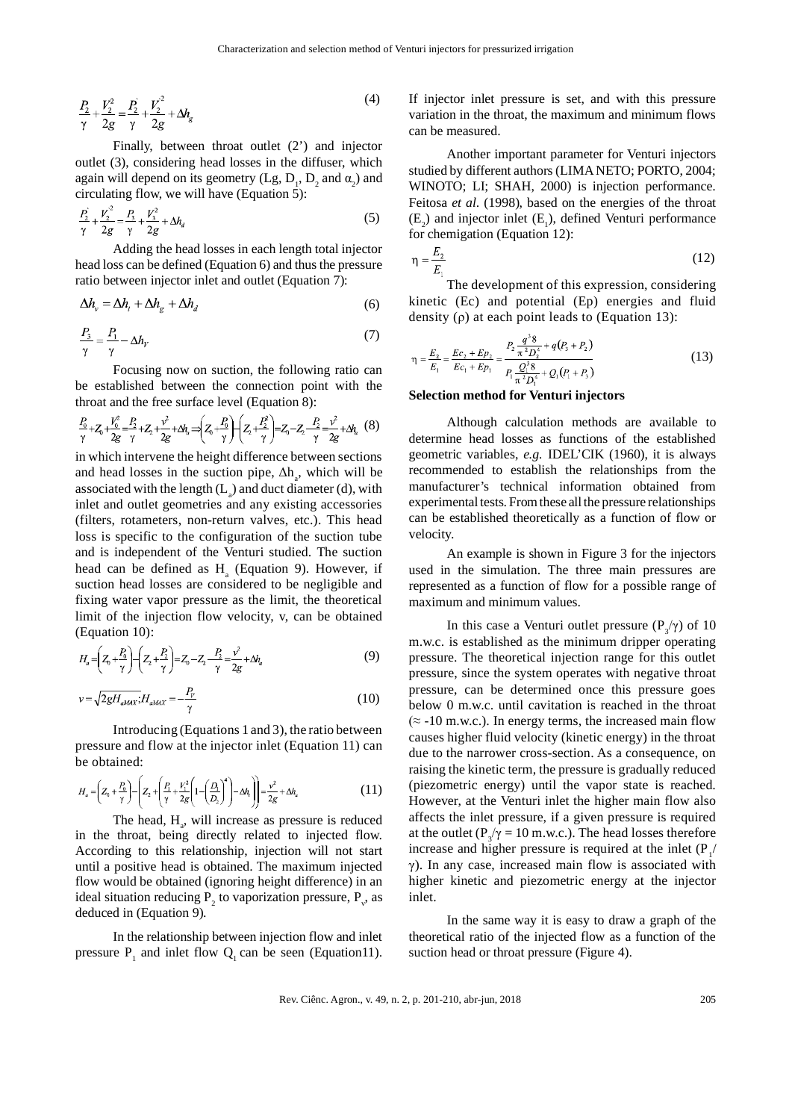$$
\frac{P_2}{\gamma} + \frac{V_2^2}{2g} = \frac{P_2}{\gamma} + \frac{V_2^2}{2g} + \Delta h_g
$$
\n(4)

Finally, between throat outlet (2') and injector outlet (3), considering head losses in the diffuser, which again will depend on its geometry  $(Lg, D_1, D_2)$  and  $\alpha_2$ ) and circulating flow, we will have (Equation 5):

$$
\frac{P_2^2}{\gamma} + \frac{V_2^2}{2g} = \frac{P_3}{\gamma} + \frac{V_3^2}{2g} + \Delta h_d
$$
 (5)

Adding the head losses in each length total injector head loss can be defined (Equation 6) and thus the pressure ratio between injector inlet and outlet (Equation 7):

$$
\Delta h_v = \Delta h_t + \Delta h_g + \Delta h_d \tag{6}
$$

$$
\frac{P_3}{\gamma} = \frac{P_1}{\gamma} - \Delta h_Y \tag{7}
$$

Focusing now on suction, the following ratio can be established between the connection point with the throat and the free surface level (Equation 8):

$$
\frac{P_0}{\gamma} + Z_0 + \frac{V_0^2}{2g} = \frac{P_2}{\gamma} + Z_2 + \frac{v^2}{2g} + \Delta q_v \Rightarrow \left(Z_0 + \frac{P_0}{\gamma}\right) + \left(Z_2 + \frac{P_2^2}{\gamma}\right) = Z_0 - Z_2 - \frac{P_2}{\gamma} = \frac{v^2}{2g} + \Delta q_v
$$
 (8)

in which intervene the height difference between sections and head losses in the suction pipe,  $\Delta h_a$ , which will be associated with the length  $(L_a)$  and duct diameter (d), with inlet and outlet geometries and any existing accessories (filters, rotameters, non-return valves, etc.). This head loss is specific to the configuration of the suction tube and is independent of the Venturi studied. The suction head can be defined as  $H_a$  (Equation 9). However, if suction head losses are considered to be negligible and fixing water vapor pressure as the limit, the theoretical limit of the injection flow velocity, v, can be obtained (Equation 10):

$$
H_a = \left(Z_0 + \frac{P_0}{\gamma}\right) - \left(Z_2 + \frac{P_2}{\gamma}\right) = Z_0 - Z_2 - \frac{P_2}{\gamma} = \frac{v^2}{2g} + \Delta l_a
$$
\n<sup>(9)</sup>

$$
v = \sqrt{2gH_{aMAX}}; H_{aMAX} = -\frac{P_v}{\gamma}
$$
 (10)

Introducing (Equations 1 and 3), the ratio between pressure and flow at the injector inlet (Equation 11) can be obtained:

$$
H_a = \left(Z_0 + \frac{P_0}{\gamma}\right) - \left(Z_2 + \left(\frac{P_1}{\gamma} + \frac{V_1^2}{2g}\left(1 - \left(\frac{D_1}{D_2}\right)^4\right) - \Delta h_t\right)\right) = \frac{v^2}{2g} + \Delta h_a
$$
 (11)

The head,  $H_a$ , will increase as pressure is reduced in the throat, being directly related to injected flow. According to this relationship, injection will not start until a positive head is obtained. The maximum injected flow would be obtained (ignoring height difference) in an ideal situation reducing  $P_2$  to vaporization pressure,  $P_v$ , as deduced in (Equation 9).

In the relationship between injection flow and inlet pressure  $P_1$  and inlet flow  $Q_1$  can be seen (Equation11).

If injector inlet pressure is set, and with this pressure variation in the throat, the maximum and minimum flows can be measured.

Another important parameter for Venturi injectors studied by different authors (LIMA NETO; PORTO, 2004; WINOTO; LI; SHAH, 2000) is injection performance. Feitosa *et al*. (1998), based on the energies of the throat  $(E_2)$  and injector inlet  $(E_1)$ , defined Venturi performance for chemigation (Equation 12):

$$
\eta = \frac{E_2}{E_1} \tag{12}
$$

The development of this expression, considering kinetic (Ec) and potential (Ep) energies and fluid density (ρ) at each point leads to (Equation 13):

$$
\eta = \frac{E_2}{E_1} = \frac{Ec_2 + Ep_2}{Ec_1 + Ep_2} = \frac{P_2 \frac{q^3 8}{\pi^2 D_2^4} + q(P_3 + P_2)}{P_1 \frac{Q_1^3 8}{\pi^2 D_1^4} + Q_1 (P_1 + P_3)}
$$
(13)

#### **Selection method for Venturi injectors**

Although calculation methods are available to determine head losses as functions of the established geometric variables, *e.g.* IDEL'CIK (1960), it is always recommended to establish the relationships from the manufacturer's technical information obtained from experimental tests. From these all the pressure relationships can be established theoretically as a function of flow or velocity.

An example is shown in Figure 3 for the injectors used in the simulation. The three main pressures are represented as a function of flow for a possible range of maximum and minimum values.

In this case a Venturi outlet pressure  $(P_3/\gamma)$  of 10 m.w.c. is established as the minimum dripper operating pressure. The theoretical injection range for this outlet pressure, since the system operates with negative throat pressure, can be determined once this pressure goes below 0 m.w.c. until cavitation is reached in the throat  $($  ≈ -10 m.w.c.). In energy terms, the increased main flow causes higher fluid velocity (kinetic energy) in the throat due to the narrower cross-section. As a consequence, on raising the kinetic term, the pressure is gradually reduced (piezometric energy) until the vapor state is reached. However, at the Venturi inlet the higher main flow also affects the inlet pressure, if a given pressure is required at the outlet ( $P_3/\gamma = 10$  m.w.c.). The head losses therefore increase and higher pressure is required at the inlet  $(P_1 /$ γ). In any case, increased main flow is associated with higher kinetic and piezometric energy at the injector inlet.

In the same way it is easy to draw a graph of the theoretical ratio of the injected flow as a function of the suction head or throat pressure (Figure 4).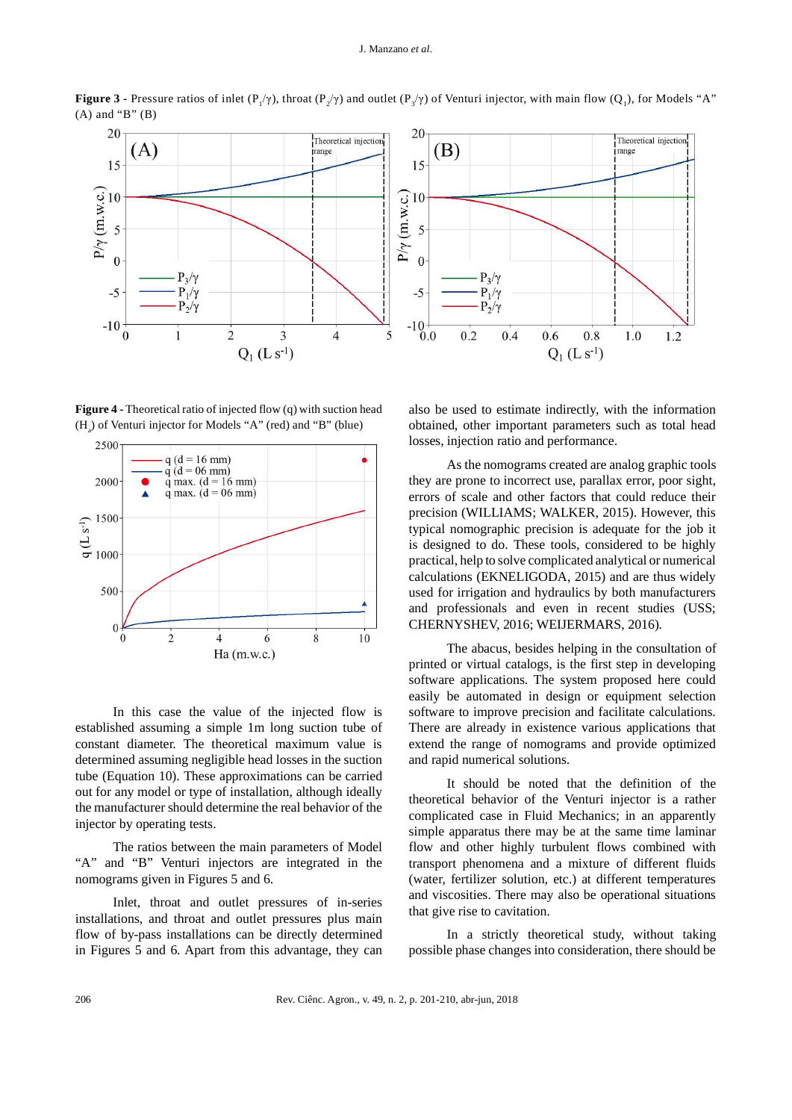

**Figure 3 -** Pressure ratios of inlet  $(P_1/\gamma)$ , throat  $(P_2/\gamma)$  and outlet  $(P_3/\gamma)$  of Venturi injector, with main flow  $(Q_1)$ , for Models "A"  $(A)$  and "B"  $(B)$ 

**Figure 4 -** Theoretical ratio of injected flow (q) with suction head  $(H_a)$  of Venturi injector for Models "A" (red) and "B" (blue)



In this case the value of the injected flow is established assuming a simple 1m long suction tube of constant diameter. The theoretical maximum value is determined assuming negligible head losses in the suction tube (Equation 10). These approximations can be carried out for any model or type of installation, although ideally the manufacturer should determine the real behavior of the injector by operating tests.

The ratios between the main parameters of Model "A" and "B" Venturi injectors are integrated in the nomograms given in Figures 5 and 6.

Inlet, throat and outlet pressures of in-series installations, and throat and outlet pressures plus main flow of by-pass installations can be directly determined in Figures 5 and 6. Apart from this advantage, they can

also be used to estimate indirectly, with the information obtained, other important parameters such as total head losses, injection ratio and performance.

As the nomograms created are analog graphic tools they are prone to incorrect use, parallax error, poor sight, errors of scale and other factors that could reduce their precision (WILLIAMS; WALKER, 2015). However, this typical nomographic precision is adequate for the job it is designed to do. These tools, considered to be highly practical, help to solve complicated analytical or numerical calculations (EKNELIGODA, 2015) and are thus widely used for irrigation and hydraulics by both manufacturers and professionals and even in recent studies (USS; CHERNYSHEV, 2016; WEIJERMARS, 2016).

The abacus, besides helping in the consultation of printed or virtual catalogs, is the first step in developing software applications. The system proposed here could easily be automated in design or equipment selection software to improve precision and facilitate calculations. There are already in existence various applications that extend the range of nomograms and provide optimized and rapid numerical solutions.

It should be noted that the definition of the theoretical behavior of the Venturi injector is a rather complicated case in Fluid Mechanics; in an apparently simple apparatus there may be at the same time laminar flow and other highly turbulent flows combined with transport phenomena and a mixture of different fluids (water, fertilizer solution, etc.) at different temperatures and viscosities. There may also be operational situations that give rise to cavitation.

In a strictly theoretical study, without taking possible phase changes into consideration, there should be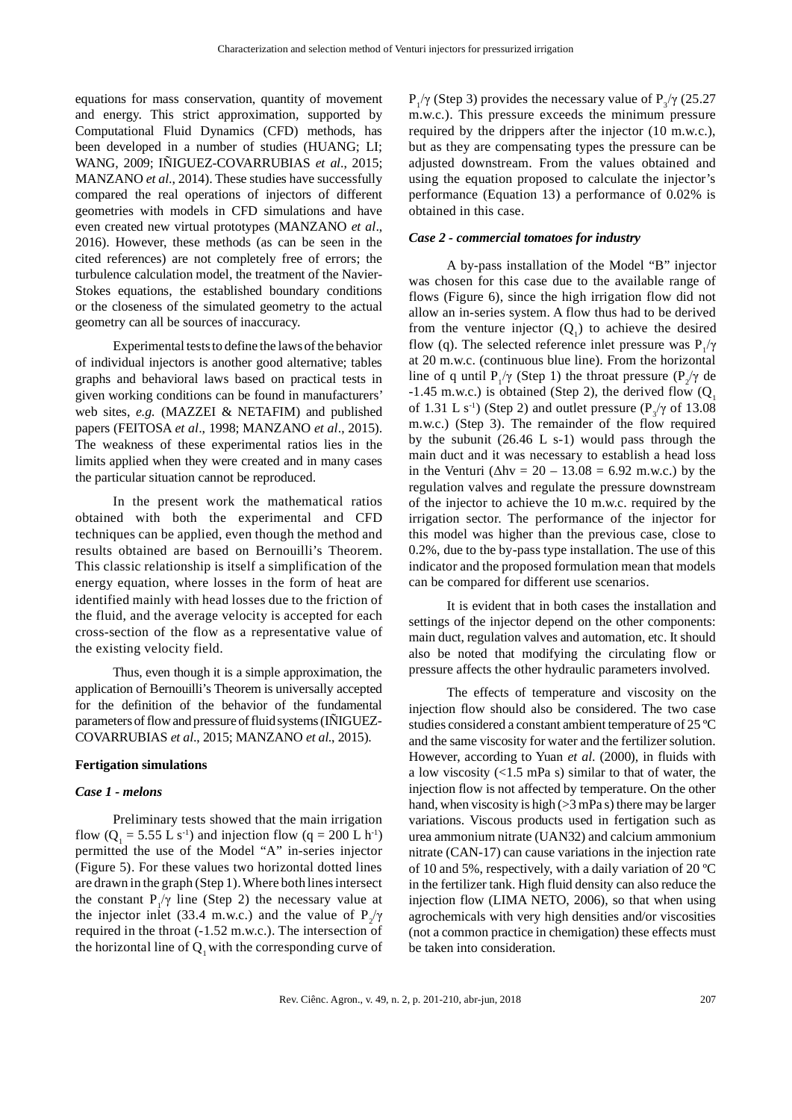equations for mass conservation, quantity of movement and energy. This strict approximation, supported by Computational Fluid Dynamics (CFD) methods, has been developed in a number of studies (HUANG; LI; WANG, 2009; INIGUEZ-COVARRUBIAS et al., 2015; MANZANO *et al*., 2014). These studies have successfully compared the real operations of injectors of different geometries with models in CFD simulations and have even created new virtual prototypes (MANZANO *et al*., 2016). However, these methods (as can be seen in the cited references) are not completely free of errors; the turbulence calculation model, the treatment of the Navier-Stokes equations, the established boundary conditions or the closeness of the simulated geometry to the actual geometry can all be sources of inaccuracy.

Experimental tests to define the laws of the behavior of individual injectors is another good alternative; tables graphs and behavioral laws based on practical tests in given working conditions can be found in manufacturers' web sites, *e.g.* (MAZZEI & NETAFIM) and published papers (FEITOSA *et al*., 1998; MANZANO *et al*., 2015). The weakness of these experimental ratios lies in the limits applied when they were created and in many cases the particular situation cannot be reproduced.

In the present work the mathematical ratios obtained with both the experimental and CFD techniques can be applied, even though the method and results obtained are based on Bernouilli's Theorem. This classic relationship is itself a simplification of the energy equation, where losses in the form of heat are identified mainly with head losses due to the friction of the fluid, and the average velocity is accepted for each cross-section of the flow as a representative value of the existing velocity field.

Thus, even though it is a simple approximation, the application of Bernouilli's Theorem is universally accepted for the definition of the behavior of the fundamental parameters of flow and pressure of fluid systems (IÑIGUEZ-COVARRUBIAS *et al*., 2015; MANZANO *et al*., 2015).

#### **Fertigation simulations**

## *Case 1 - melons*

Preliminary tests showed that the main irrigation flow ( $Q_1 = 5.55$  L s<sup>-1</sup>) and injection flow (q = 200 L h<sup>-1</sup>) permitted the use of the Model "A" in-series injector (Figure 5). For these values two horizontal dotted lines are drawn in the graph (Step 1). Where both lines intersect the constant  $P_1/\gamma$  line (Step 2) the necessary value at the injector inlet (33.4 m.w.c.) and the value of  $P_2/\gamma$ required in the throat (-1.52 m.w.c.). The intersection of the horizontal line of  $Q_1$  with the corresponding curve of  $P_1/\gamma$  (Step 3) provides the necessary value of  $P_3/\gamma$  (25.27 m.w.c.). This pressure exceeds the minimum pressure required by the drippers after the injector (10 m.w.c.), but as they are compensating types the pressure can be adjusted downstream. From the values obtained and using the equation proposed to calculate the injector's performance (Equation 13) a performance of 0.02% is obtained in this case.

#### *Case 2 - commercial tomatoes for industry*

A by-pass installation of the Model "B" injector was chosen for this case due to the available range of flows (Figure 6), since the high irrigation flow did not allow an in-series system. A flow thus had to be derived from the venture injector  $(Q_1)$  to achieve the desired flow (q). The selected reference inlet pressure was  $P_1/\gamma$ at 20 m.w.c. (continuous blue line). From the horizontal line of q until  $P_1/\gamma$  (Step 1) the throat pressure  $(P_2/\gamma)$  de -1.45 m.w.c.) is obtained (Step 2), the derived flow  $(Q_1, Q_2)$ of 1.31 L s<sup>-1</sup>) (Step 2) and outlet pressure ( $P_3/\gamma$  of 13.08 m.w.c.) (Step 3). The remainder of the flow required by the subunit (26.46 L s-1) would pass through the main duct and it was necessary to establish a head loss in the Venturi ( $\Delta$ hv = 20 – 13.08 = 6.92 m.w.c.) by the regulation valves and regulate the pressure downstream of the injector to achieve the 10 m.w.c. required by the irrigation sector. The performance of the injector for this model was higher than the previous case, close to 0.2%, due to the by-pass type installation. The use of this indicator and the proposed formulation mean that models can be compared for different use scenarios.

It is evident that in both cases the installation and settings of the injector depend on the other components: main duct, regulation valves and automation, etc. It should also be noted that modifying the circulating flow or pressure affects the other hydraulic parameters involved.

The effects of temperature and viscosity on the injection flow should also be considered. The two case studies considered a constant ambient temperature of 25 ºC and the same viscosity for water and the fertilizer solution. However, according to Yuan *et al*. (2000), in fluids with a low viscosity  $\left($ <1.5 mPa s) similar to that of water, the injection flow is not affected by temperature. On the other hand, when viscosity is high ( $>3$  mPa s) there may be larger variations. Viscous products used in fertigation such as urea ammonium nitrate (UAN32) and calcium ammonium nitrate (CAN-17) can cause variations in the injection rate of 10 and 5%, respectively, with a daily variation of 20 ºC in the fertilizer tank. High fluid density can also reduce the injection flow (LIMA NETO, 2006), so that when using agrochemicals with very high densities and/or viscosities (not a common practice in chemigation) these effects must be taken into consideration.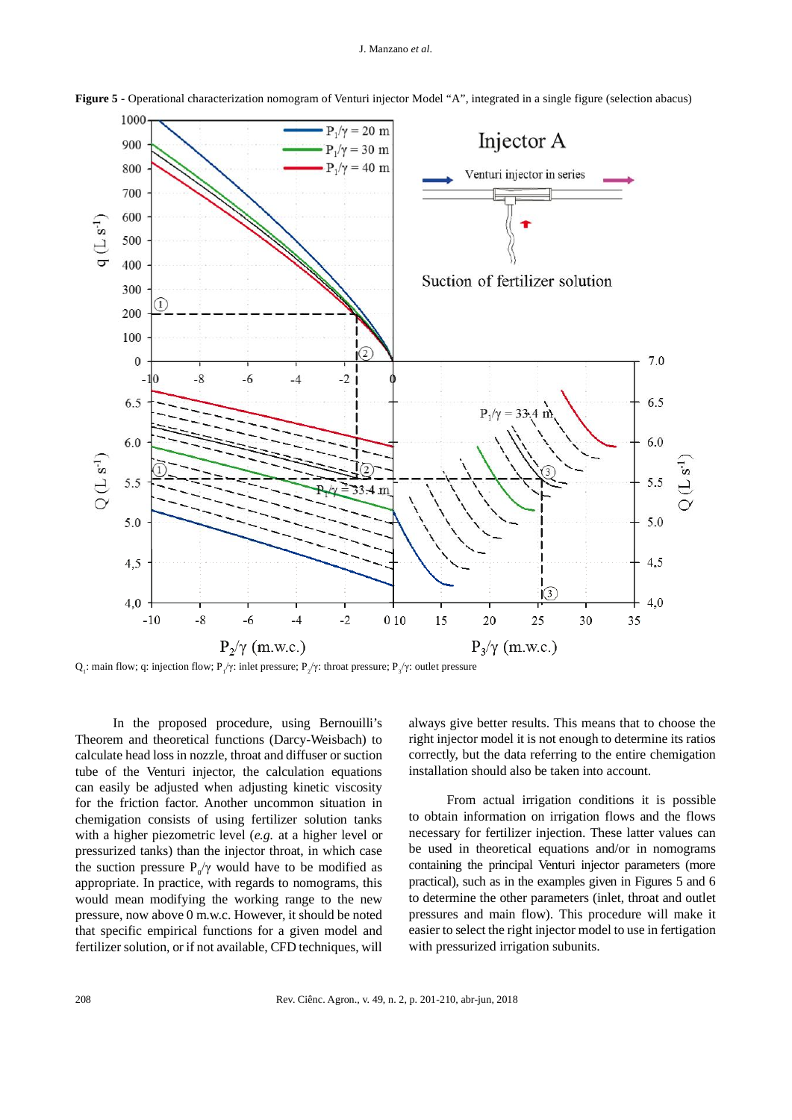

**Figure 5 -** Operational characterization nomogram of Venturi injector Model "A", integrated in a single figure (selection abacus)

Q<sub>1</sub>: main flow; q: injection flow; P<sub>1</sub>/γ: inlet pressure; P<sub>2</sub>/γ: throat pressure; P<sub>3</sub>/γ: outlet pressure

In the proposed procedure, using Bernouilli's Theorem and theoretical functions (Darcy-Weisbach) to calculate head loss in nozzle, throat and diffuser or suction tube of the Venturi injector, the calculation equations can easily be adjusted when adjusting kinetic viscosity for the friction factor. Another uncommon situation in chemigation consists of using fertilizer solution tanks with a higher piezometric level (*e.g.* at a higher level or pressurized tanks) than the injector throat, in which case the suction pressure  $P_0/\gamma$  would have to be modified as appropriate. In practice, with regards to nomograms, this would mean modifying the working range to the new pressure, now above 0 m.w.c. However, it should be noted that specific empirical functions for a given model and fertilizer solution, or if not available, CFD techniques, will always give better results. This means that to choose the right injector model it is not enough to determine its ratios correctly, but the data referring to the entire chemigation installation should also be taken into account.

From actual irrigation conditions it is possible to obtain information on irrigation flows and the flows necessary for fertilizer injection. These latter values can be used in theoretical equations and/or in nomograms containing the principal Venturi injector parameters (more practical), such as in the examples given in Figures 5 and 6 to determine the other parameters (inlet, throat and outlet pressures and main flow). This procedure will make it easier to select the right injector model to use in fertigation with pressurized irrigation subunits.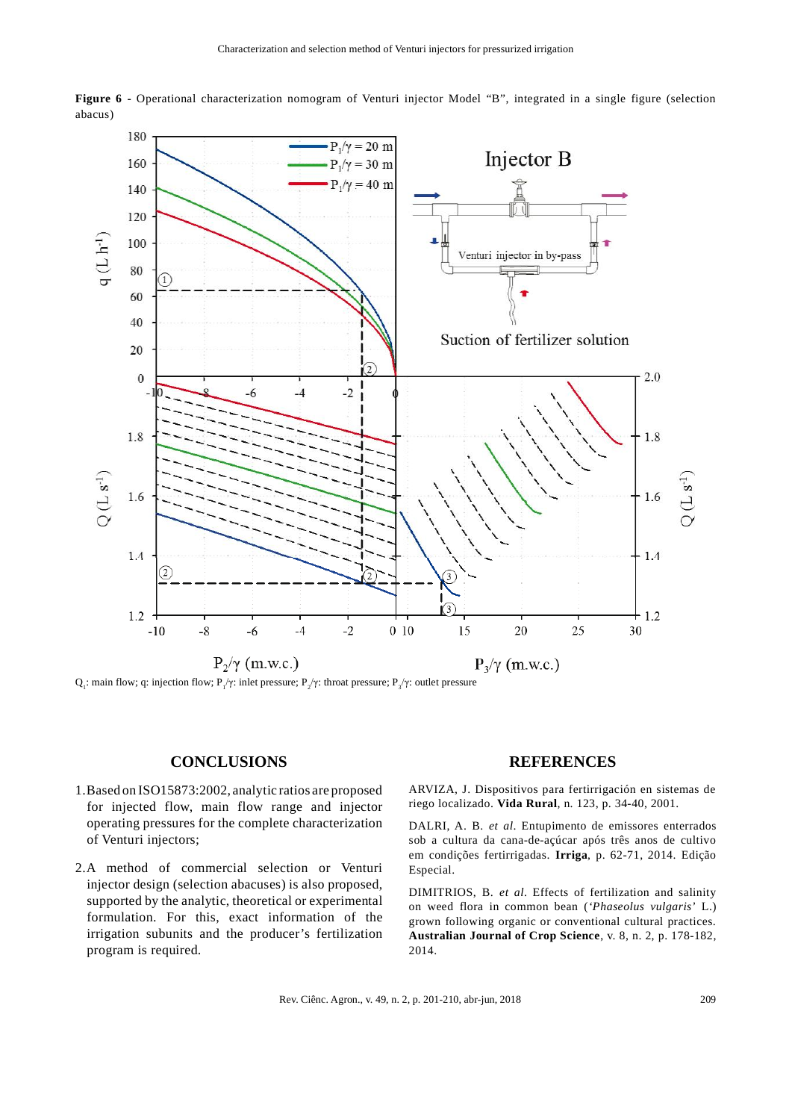

**Figure 6 -** Operational characterization nomogram of Venturi injector Model "B", integrated in a single figure (selection abacus)

Q<sub>1</sub>: main flow; q: injection flow; P<sub>1</sub>/γ: inlet pressure; P<sub>2</sub>/γ: throat pressure; P<sub>3</sub>/γ: outlet pressure

### **CONCLUSIONS**

- 1. Based on ISO15873:2002, analytic ratios are proposed for injected flow, main flow range and injector operating pressures for the complete characterization of Venturi injectors;
- 2. A method of commercial selection or Venturi injector design (selection abacuses) is also proposed, supported by the analytic, theoretical or experimental formulation. For this, exact information of the irrigation subunits and the producer's fertilization program is required.

#### **REFERENCES**

ARVIZA, J. Dispositivos para fertirrigación en sistemas de riego localizado. **Vida Rural**, n. 123, p. 34-40, 2001.

DALRI, A. B. *et al*. Entupimento de emissores enterrados sob a cultura da cana-de-açúcar após três anos de cultivo em condições fertirrigadas. **Irriga**, p. 62-71, 2014. Edição Especial.

DIMITRIOS, B. *et al*. Effects of fertilization and salinity on weed flora in common bean (*'Phaseolus vulgaris*' L.) grown following organic or conventional cultural practices. **Australian Journal of Crop Science**, v. 8, n. 2, p. 178-182, 2014.